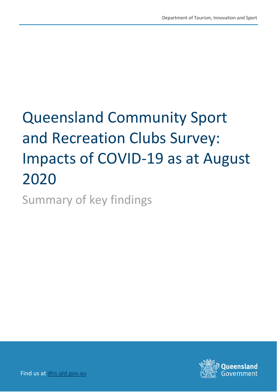# Queensland Community Sport and Recreation Clubs Survey: Impacts of COVID-19 as at August 2020

Summary of key findings



Find us at [dtis.qld.gov.au](http://www.ditid.qld.gov.au/)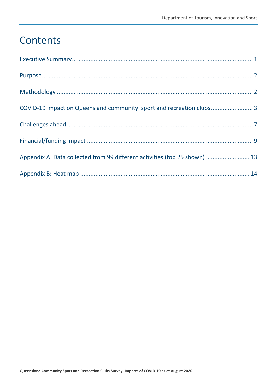### **Contents**

| COVID-19 impact on Queensland community sport and recreation clubs 3       |  |
|----------------------------------------------------------------------------|--|
|                                                                            |  |
|                                                                            |  |
| Appendix A: Data collected from 99 different activities (top 25 shown)  13 |  |
|                                                                            |  |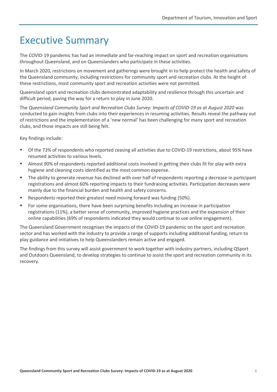### <span id="page-2-0"></span>Executive Summary

The COVID-19 pandemic has had an immediate and far-reaching impact on sport and recreation organisations throughout Queensland, and on Queenslanders who participate in these activities.

In March 2020, restrictions on movement and gatherings were brought in to help protect the health and safety of the Queensland community, including restrictions for community sport and recreation clubs. At the height of these restrictions, most community sport and recreation activities were not permitted.

Queensland sport and recreation clubs demonstrated adaptability and resilience through this uncertain and difficult period, paving the way for a return to play in June 2020.

The *Queensland Community Sport and Recreation Clubs Survey: Impacts of COVID-19 as at August 2020* was conducted to gain insights from clubs into their experiences in resuming activities. Results reveal the pathway out of restrictions and the implementation of a 'new normal' has been challenging for many sport and recreation clubs, and those impacts are still being felt.

Key findings include:

- Of the 73% of respondents who reported ceasing all activities due to COVID-19 restrictions, about 95% have resumed activities to various levels.
- Almost 90% of respondents reported additional costs involved in getting their clubs fit for play with extra hygiene and cleaning costs identified as the most common expense.
- The ability to generate revenue has declined with over half of respondents reporting a decrease in participant registrations and almost 60% reporting impacts to their fundraising activities. Participation decreases were mainly due to the financial burden and health and safety concerns.
- Respondents reported their greatest need moving forward was funding (50%).
- For some organisations, there have been surprising benefits including an increase in participation registrations (11%), a better sense of community, improved hygiene practices and the expansion of their online capabilities (69% of respondents indicated they would continue to use online engagement).

The Queensland Government recognises the impacts of the COVID-19 pandemic on the sport and recreation sector and has worked with the industry to provide a range of supports including additional funding, return to play guidance and initiatives to help Queenslanders remain active and engaged.

The findings from this survey will assist government to work together with industry partners, including QSport and Outdoors Queensland, to develop strategies to continue to assist the sport and recreation community in its recovery.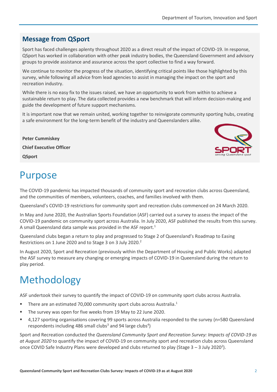### **Message from QSport**

Sport has faced challenges aplenty throughout 2020 as a direct result of the impact of COVID-19. In response, QSport has worked in collaboration with other peak industry bodies, the Queensland Government and advisory groups to provide assistance and assurance across the sport collective to find a way forward.

We continue to monitor the progress of the situation, identifying critical points like those highlighted by this survey, while following all advice from lead agencies to assist in managing the impact on the sport and recreation industry.

While there is no easy fix to the issues raised, we have an opportunity to work from within to achieve a sustainable return to play. The data collected provides a new benchmark that will inform decision-making and guide the development of future support mechanisms.

It is important now that we remain united, working together to reinvigorate community sporting hubs, creating a safe environment for the long-term benefit of the industry and Queenslanders alike.

**Peter Cummiskey Chief Executive Officer QSport**



### <span id="page-3-0"></span>Purpose

The COVID-19 pandemic has impacted thousands of community sport and recreation clubs across Queensland, and the communities of members, volunteers, coaches, and families involved with them.

Queensland's COVID-19 restrictions for community sport and recreation clubs commenced on 24 March 2020.

In May and June 2020, the Australian Sports Foundation (ASF) carried out a survey to assess the impact of the COVID-19 pandemic on community sport across Australia. In July 2020, ASF published the results from this survey. A small Queensland data sample was provided in the ASF report.<sup>1</sup>

Queensland clubs began a return to play and progressed to Stage 2 of Queensland's Roadmap to Easing Restrictions on 1 June 2020 and to Stage 3 on 3 July 2020.<sup>2</sup>

In August 2020, Sport and Recreation (previously within the Department of Housing and Public Works) adapted the ASF survey to measure any changing or emerging impacts of COVID-19 in Queensland during the return to play period.

# <span id="page-3-1"></span>Methodology

ASF undertook their survey to quantify the impact of COVID-19 on community sport clubs across Australia.

- $\blacksquare$  There are an estimated 70,000 community sport clubs across Australia.<sup>1</sup>
- The survey was open for five weeks from 19 May to 22 June 2020.
- 4,127 sporting organisations covering 99 sports across Australia responded to the survey (n=580 Queensland respondents including 486 small clubs<sup>3</sup> and 94 large clubs<sup>4</sup>)

Sport and Recreation conducted the *Queensland Community Sport and Recreation Survey: Impacts of COVID-19 as at August 2020* to quantify the impact of COVID-19 on community sport and recreation clubs across Queensland once COVID Safe Industry Plans were developed and clubs returned to play (Stage  $3-3$  July 2020<sup>2</sup>).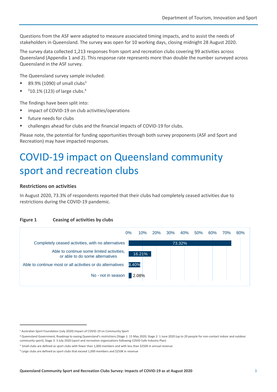Questions from the ASF were adapted to measure associated timing impacts, and to assist the needs of stakeholders in Queensland. The survey was open for 10 working days, closing midnight 28 August 2020.

The survey data collected 1,213 responses from sport and recreation clubs covering 99 activities across Queensland (Appendix 1 and 2). This response rate represents more than double the number surveyed across Queensland in the ASF survey.

The Queensland survey sample included:

- 89.9% (1090) of small clubs<sup>3</sup>
- $110.1\%$  (123) of large clubs.<sup>4</sup>

The findings have been split into:

- impact of COVID-19 on club activities/operations
- future needs for clubs
- challenges ahead for clubs and the financial impacts of COVID-19 for clubs.

Please note, the potential for funding opportunities through both survey proponents (ASF and Sport and Recreation) may have impacted responses.

## <span id="page-4-0"></span>COVID-19 impact on Queensland community sport and recreation clubs

#### **Restrictions on activities**

In August 2020, 73.3% of respondents reported that their clubs had completely ceased activities due to restrictions during the COVID-19 pandemic.

#### **Figure 1 Ceasing of activities by clubs**



<sup>1</sup> Australian Sport Foundation (July 2020) Impact of COVID-19 on Community Sport

<sup>&</sup>lt;sup>2</sup> Queensland Government, Roadmap to easing Queensland's restrictions (Stage 1: 15 May 2020; Stage 2: 1 June 2020 (up to 20 people for non-contact indoor and outdoor community sport); Stage 3: 3 July 2020 (sport and recreation organisations following COVID Safe Industry Plan)

<sup>&</sup>lt;sup>3</sup> Small clubs are defined as sport clubs with fewer than 1,000 members and with less than \$250K in annual revenue

<sup>4</sup> Large clubs are defined as sport clubs that exceed 1,000 members and \$250K in revenue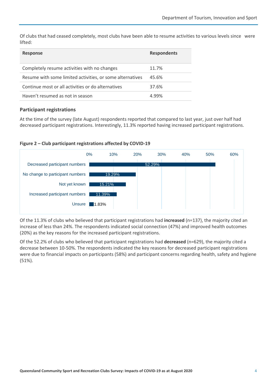Of clubs that had ceased completely, most clubs have been able to resume activities to various levels since were lifted:

| <b>Respondents</b> |
|--------------------|
| 11.7%              |
| 45.6%              |
| 37.6%              |
| 4.99%              |
|                    |

#### **Participant registrations**

At the time of the survey (late August) respondents reported that compared to last year, just over half had decreased participant registrations. Interestingly, 11.3% reported having increased participant registrations.

#### **Figure 2 – Club participant registrations affected by COVID-19**



Of the 11.3% of clubs who believed that participant registrations had **increased** (n=137), the majority cited an increase of less than 24%. The respondents indicated social connection (47%) and improved health outcomes (20%) as the key reasons for the increased participant registrations.

Of the 52.2% of clubs who believed that participant registrations had **decreased** (n=629), the majority cited a decrease between 10-50%. The respondents indicated the key reasons for decreased participant registrations were due to financial impacts on participants (58%) and participant concerns regarding health, safety and hygiene (51%).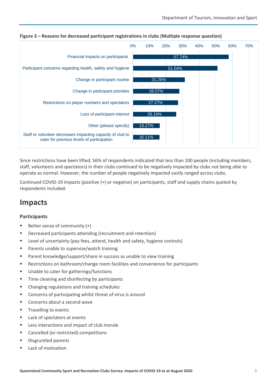

#### **Figure 3 – Reasons for decreased participant registrations in clubs (Multiple response question)**

Since restrictions have been lifted, 56% of respondents indicated that less than 100 people (including members, staff, volunteers and spectators) in their clubs continued to be negatively impacted by clubs not being able to operate as normal. However, the number of people negatively impacted vastly ranged across clubs.

Continued COVID-19 impacts (positive (+) or negative) on participants, staff and supply chains quoted by respondents included:

### **Impacts**

#### **Participants**

- $\blacksquare$  Better sense of community  $(+)$
- Decreased participants attending (recruitment and retention)
- Level of uncertainty (pay fees, attend, health and safety, hygiene controls)
- Parents unable to supervise/watch training
- Parent knowledge/support/share in success as unable to view training
- Restrictions on bathroom/change room facilities and convenience for participants
- Unable to cater for gatherings/functions
- Time cleaning and disinfecting by participants
- Changing regulations and training schedules
- Concerns of participating whilst threat of virus is around
- Concerns about a second wave
- **■** Travelling to events
- Lack of spectators at events
- Less interactions and impact of club morale
- Cancelled (or restricted) competitions
- Disgruntled parents
- Lack of motivation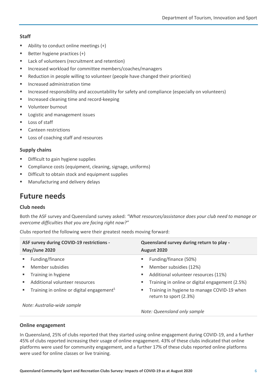#### **Staff**

- Ability to conduct online meetings (+)
- Better hygiene practices (+)
- Lack of volunteers (recruitment and retention)
- Increased workload for committee members/coaches/managers
- Reduction in people willing to volunteer (people have changed their priorities)
- Increased administration time
- Increased responsibility and accountability for safety and compliance (especially on volunteers)
- Increased cleaning time and record-keeping
- Volunteer burnout
- Logistic and management issues
- Loss of staff
- Canteen restrictions
- Loss of coaching staff and resources

#### **Supply chains**

- Difficult to gain hygiene supplies
- Compliance costs (equipment, cleaning, signage, uniforms)
- Difficult to obtain stock and equipment supplies
- Manufacturing and delivery delays

### **Future needs**

#### **Club needs**

Both the ASF survey and Queensland survey asked: *"What resources/assistance does your club need to manage or overcome difficulties that you are facing right now?"*

Clubs reported the following were their greatest needs moving forward:

| ASF survey during COVID-19 restrictions -<br>May/June 2020 |                                                       | Queensland survey during return to play -<br>August 2020 |                                                                       |  |
|------------------------------------------------------------|-------------------------------------------------------|----------------------------------------------------------|-----------------------------------------------------------------------|--|
| ×.                                                         | Funding/finance                                       | н.                                                       | Funding/finance (50%)                                                 |  |
| m.                                                         | Member subsidies                                      | ٠                                                        | Member subsidies (12%)                                                |  |
| $\mathbf{r}$                                               | Training in hygiene                                   | ٠                                                        | Additional volunteer resources (11%)                                  |  |
|                                                            | Additional volunteer resources                        |                                                          | Training in online or digital engagement (2.5%)                       |  |
| $\blacksquare$                                             | Training in online or digital engagement <sup>5</sup> |                                                          | Training in hygiene to manage COVID-19 when<br>return to sport (2.3%) |  |
| Note: Australia-wide sample                                |                                                       |                                                          | Note: Queensland only sample                                          |  |

#### **Online engagement**

In Queensland, 25% of clubs reported that they started using online engagement during COVID-19, and a further 45% of clubs reported increasing their usage of online engagement. 43% of these clubs indicated that online platforms were used for community engagement, and a further 17% of these clubs reported online platforms were used for online classes or live training.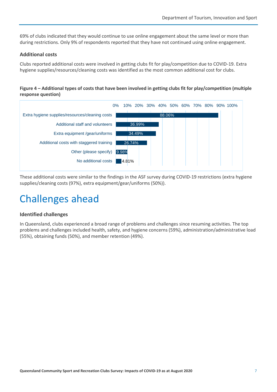69% of clubs indicated that they would continue to use online engagement about the same level or more than during restrictions. Only 9% of respondents reported that they have not continued using online engagement.

#### **Additional costs**

Clubs reported additional costs were involved in getting clubs fit for play/competition due to COVID-19. Extra hygiene supplies/resources/cleaning costs was identified as the most common additional cost for clubs.

#### **Figure 4 – Additional types of costs that have been involved in getting clubs fit for play/competition (multiple response question)**



These additional costs were similar to the findings in the ASF survey during COVID-19 restrictions (extra hygiene supplies/cleaning costs (97%), extra equipment/gear/uniforms (50%)).

### <span id="page-8-0"></span>Challenges ahead

#### **Identified challenges**

In Queensland, clubs experienced a broad range of problems and challenges since resuming activities. The top problems and challenges included health, safety, and hygiene concerns (59%), administration/administrative load (55%), obtaining funds (50%), and member retention (49%).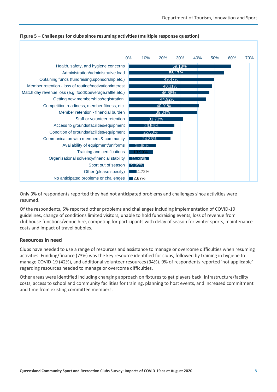

#### **Figure 5 – Challenges for clubs since resuming activities (multiple response question)**

Only 3% of respondents reported they had not anticipated problems and challenges since activities were resumed.

Of the respondents, 5% reported other problems and challenges including implementation of COVID-19 guidelines, change of conditions limited visitors, unable to hold fundraising events, loss of revenue from clubhouse functions/venue hire, competing for participants with delay of season for winter sports, maintenance costs and impact of travel bubbles.

#### **Resources in need**

Clubs have needed to use a range of resources and assistance to manage or overcome difficulties when resuming activities. Funding/finance (73%) was the key resource identified for clubs, followed by training in hygiene to manage COVID-19 (42%), and additional volunteer resources (34%). 9% of respondents reported 'not applicable' regarding resources needed to manage or overcome difficulties.

Other areas were identified including changing approach on fixtures to get players back, infrastructure/facility costs, access to school and community facilities for training, planning to host events, and increased commitment and time from existing committee members.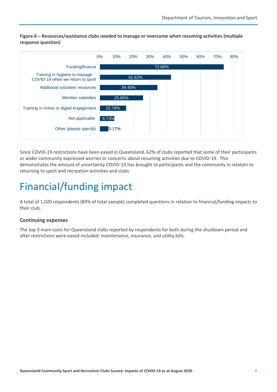

**Figure 6 – Resources/assistance clubs needed to manage or overcome when resuming activities (multiple response question)**

Since COVID-19 restrictions have been eased in Queensland, 62% of clubs reported that some of their participants or wider community expressed worries or concerns about resuming activities due to COVID-19. This demonstrates the amount of uncertainty COVID-19 has brought to participants and the community in relation to returning to sport and recreation activities and clubs.

# <span id="page-10-0"></span>Financial/funding impact

A total of 1,020 respondents (84% of total sample) completed questions in relation to financial/funding impacts to their club.

#### **Continuing expenses**

The top 3 main costs for Queensland clubs reported by respondents for both during the shutdown period and after restrictions were eased included: maintenance, insurance, and utility bills.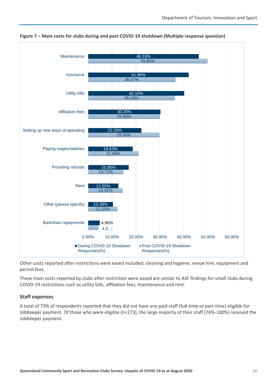



Other costs reported after restrictions were eased included: cleaning and hygiene, venue hire, equipment and permit fees.

These main costs reported by clubs after restriction were eased are similar to ASF findings for small clubs during COVID-19 restrictions such as utility bills, affiliation fees, maintenance and rent.

#### **Staff expenses**

A total of 73% of respondents reported that they did not have any paid staff (full-time or part-time) eligible for JobKeeper payment. Of those who were eligible (n=273), the large majority of their staff (76%-100%) received the JobKeeper payment.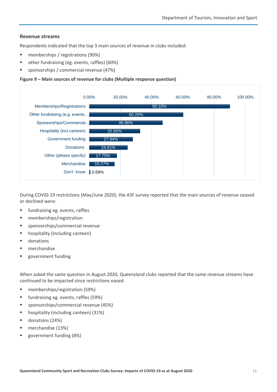#### **Revenue streams**

Respondents indicated that the top 3 main sources of revenue in clubs included:

- memberships / registrations (90%)
- other fundraising (eg. events, raffles) (60%)
- sponsorships / commercial revenue (47%)

#### **Figure 9 – Main sources of revenue for clubs (Multiple response question)**



During COVID-19 restrictions (May/June 2020), the ASF survey reported that the main sources of revenue ceased or declined were:

- fundraising eg. events, raffles
- memberships/registration
- sponsorships/commercial revenue
- hospitality (including canteen)
- donations
- merchandise
- government funding

When asked the same question in August 2020, Queensland clubs reported that the same revenue streams have continued to be impacted since restrictions eased:

- memberships/registration (59%)
- fundraising eg. events, raffles (59%)
- sponsorships/commercial revenue (45%)
- hospitality (including canteen) (31%)
- donations (24%)
- merchandise (13%)
- government funding (8%)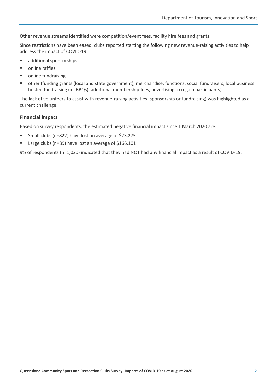Other revenue streams identified were competition/event fees, facility hire fees and grants.

Since restrictions have been eased, clubs reported starting the following new revenue-raising activities to help address the impact of COVID-19:

- additional sponsorships
- online raffles
- online fundraising
- other (funding grants (local and state government), merchandise, functions, social fundraisers, local business hosted fundraising (ie. BBQs), additional membership fees, advertising to regain participants)

The lack of volunteers to assist with revenue-raising activities (sponsorship or fundraising) was highlighted as a current challenge.

#### **Financial impact**

Based on survey respondents, the estimated negative financial impact since 1 March 2020 are:

- Small clubs (n=822) have lost an average of \$23,275
- Large clubs (n=89) have lost an average of \$166,101

9% of respondents (n=1,020) indicated that they had NOT had any financial impact as a result of COVID-19.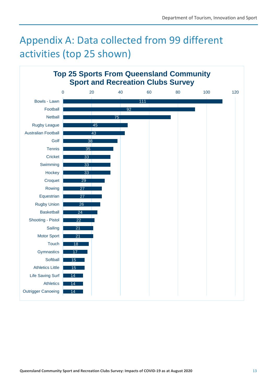## <span id="page-14-0"></span>Appendix A: Data collected from 99 different activities (top 25 shown)

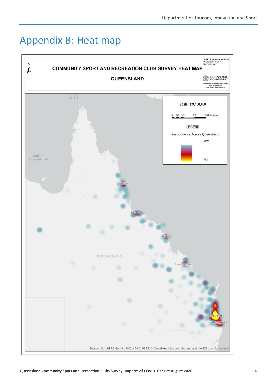### <span id="page-15-0"></span>Appendix B: Heat map